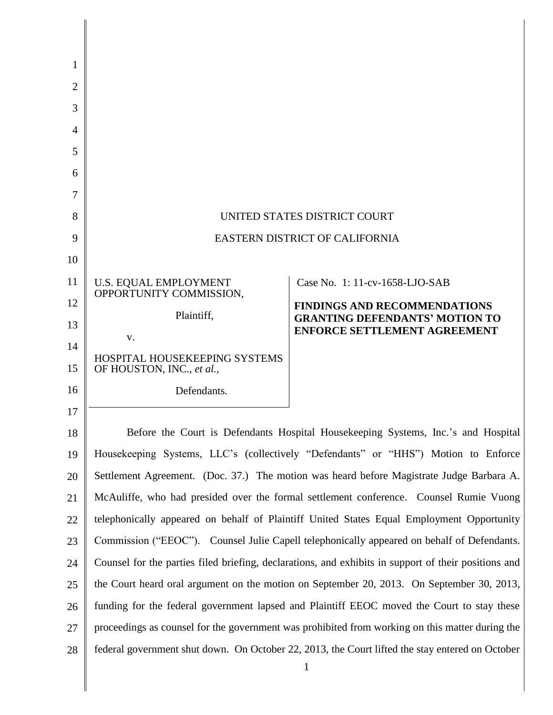| 1  |                                                                                                                |                                                                              |
|----|----------------------------------------------------------------------------------------------------------------|------------------------------------------------------------------------------|
| 2  |                                                                                                                |                                                                              |
| 3  |                                                                                                                |                                                                              |
| 4  |                                                                                                                |                                                                              |
| 5  |                                                                                                                |                                                                              |
| 6  |                                                                                                                |                                                                              |
| 7  |                                                                                                                |                                                                              |
| 8  | UNITED STATES DISTRICT COURT                                                                                   |                                                                              |
| 9  | <b>EASTERN DISTRICT OF CALIFORNIA</b>                                                                          |                                                                              |
| 10 |                                                                                                                |                                                                              |
| 11 | U.S. EQUAL EMPLOYMENT<br>OPPORTUNITY COMMISSION,                                                               | Case No. 1: 11-cv-1658-LJO-SAB                                               |
| 12 | Plaintiff,                                                                                                     | <b>FINDINGS AND RECOMMENDATIONS</b>                                          |
| 13 | V.                                                                                                             | <b>GRANTING DEFENDANTS' MOTION TO</b><br><b>ENFORCE SETTLEMENT AGREEMENT</b> |
| 14 | <b>HOSPITAL HOUSEKEEPING SYSTEMS</b>                                                                           |                                                                              |
| 15 | OF HOUSTON, INC., et al.,                                                                                      |                                                                              |
| 16 | Defendants.                                                                                                    |                                                                              |
| 17 |                                                                                                                |                                                                              |
| 18 | Before the Court is Defendants Hospital Housekeeping Systems, Inc.'s and Hospital                              |                                                                              |
| 19 | Housekeeping Systems, LLC's (collectively "Defendants" or "HHS") Motion to Enforce                             |                                                                              |
| 20 | Settlement Agreement. (Doc. 37.) The motion was heard before Magistrate Judge Barbara A.                       |                                                                              |
| 21 | McAuliffe, who had presided over the formal settlement conference. Counsel Rumie Vuong                         |                                                                              |
| 22 | telephonically appeared on behalf of Plaintiff United States Equal Employment Opportunity                      |                                                                              |
| 23 | Commission ("EEOC"). Counsel Julie Capell telephonically appeared on behalf of Defendants.                     |                                                                              |
| 24 | Counsel for the parties filed briefing, declarations, and exhibits in support of their positions and           |                                                                              |
| 25 | the Court heard oral argument on the motion on September 20, 2013. On September 30, 2013,                      |                                                                              |
| 26 | funding for the federal government lapsed and Plaintiff EEOC moved the Court to stay these                     |                                                                              |
| 27 | proceedings as counsel for the government was prohibited from working on this matter during the                |                                                                              |
| 28 | federal government shut down. On October 22, 2013, the Court lifted the stay entered on October<br>$\mathbf 1$ |                                                                              |
|    |                                                                                                                |                                                                              |

I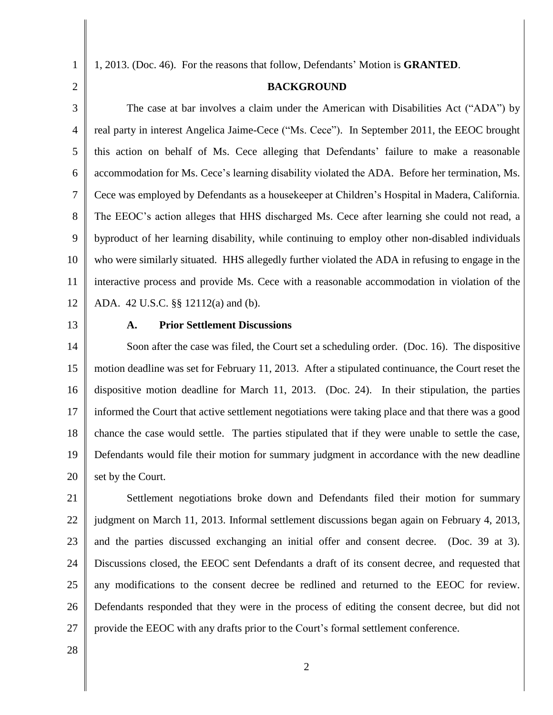1, 2013. (Doc. 46). For the reasons that follow, Defendants' Motion is **GRANTED**.

## **BACKGROUND**

3 4 5 6 7 8 9 10 11 12 The case at bar involves a claim under the American with Disabilities Act ("ADA") by real party in interest Angelica Jaime-Cece ("Ms. Cece"). In September 2011, the EEOC brought this action on behalf of Ms. Cece alleging that Defendants' failure to make a reasonable accommodation for Ms. Cece's learning disability violated the ADA. Before her termination, Ms. Cece was employed by Defendants as a housekeeper at Children's Hospital in Madera, California. The EEOC's action alleges that HHS discharged Ms. Cece after learning she could not read, a byproduct of her learning disability, while continuing to employ other non-disabled individuals who were similarly situated. HHS allegedly further violated the ADA in refusing to engage in the interactive process and provide Ms. Cece with a reasonable accommodation in violation of the ADA. 42 U.S.C. §§ 12112(a) and (b).

13

#### **A. Prior Settlement Discussions**

14 15 16 17 18 19 20 Soon after the case was filed, the Court set a scheduling order. (Doc. 16). The dispositive motion deadline was set for February 11, 2013. After a stipulated continuance, the Court reset the dispositive motion deadline for March 11, 2013. (Doc. 24). In their stipulation, the parties informed the Court that active settlement negotiations were taking place and that there was a good chance the case would settle. The parties stipulated that if they were unable to settle the case, Defendants would file their motion for summary judgment in accordance with the new deadline set by the Court.

21 22 23 24 25 26 27 Settlement negotiations broke down and Defendants filed their motion for summary judgment on March 11, 2013. Informal settlement discussions began again on February 4, 2013, and the parties discussed exchanging an initial offer and consent decree. (Doc. 39 at 3). Discussions closed, the EEOC sent Defendants a draft of its consent decree, and requested that any modifications to the consent decree be redlined and returned to the EEOC for review. Defendants responded that they were in the process of editing the consent decree, but did not provide the EEOC with any drafts prior to the Court's formal settlement conference.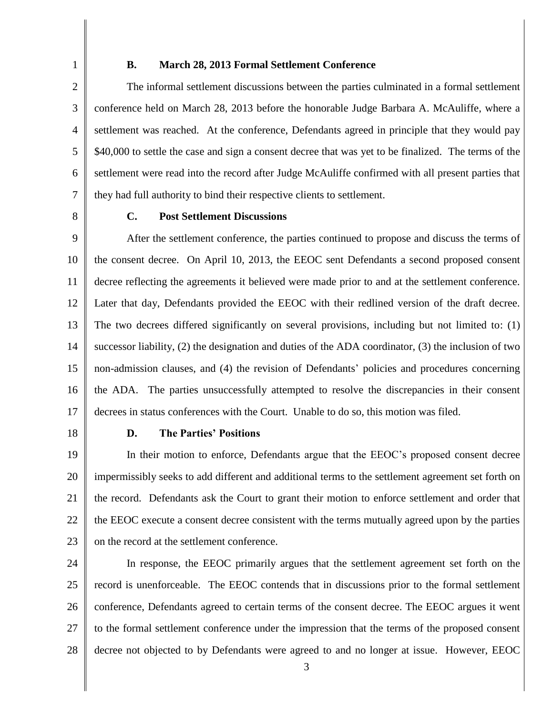#### **B. March 28, 2013 Formal Settlement Conference**

3 4 5 6 7 The informal settlement discussions between the parties culminated in a formal settlement conference held on March 28, 2013 before the honorable Judge Barbara A. McAuliffe, where a settlement was reached. At the conference, Defendants agreed in principle that they would pay \$40,000 to settle the case and sign a consent decree that was yet to be finalized. The terms of the settlement were read into the record after Judge McAuliffe confirmed with all present parties that they had full authority to bind their respective clients to settlement.

8

#### **C. Post Settlement Discussions**

9 10 11 12 13 14 15 16 17 After the settlement conference, the parties continued to propose and discuss the terms of the consent decree. On April 10, 2013, the EEOC sent Defendants a second proposed consent decree reflecting the agreements it believed were made prior to and at the settlement conference. Later that day, Defendants provided the EEOC with their redlined version of the draft decree. The two decrees differed significantly on several provisions, including but not limited to: (1) successor liability, (2) the designation and duties of the ADA coordinator, (3) the inclusion of two non-admission clauses, and (4) the revision of Defendants' policies and procedures concerning the ADA. The parties unsuccessfully attempted to resolve the discrepancies in their consent decrees in status conferences with the Court. Unable to do so, this motion was filed.

18

### **D. The Parties' Positions**

19 20 21 22 23 In their motion to enforce, Defendants argue that the EEOC's proposed consent decree impermissibly seeks to add different and additional terms to the settlement agreement set forth on the record. Defendants ask the Court to grant their motion to enforce settlement and order that the EEOC execute a consent decree consistent with the terms mutually agreed upon by the parties on the record at the settlement conference.

24 25 26 27 28 In response, the EEOC primarily argues that the settlement agreement set forth on the record is unenforceable. The EEOC contends that in discussions prior to the formal settlement conference, Defendants agreed to certain terms of the consent decree. The EEOC argues it went to the formal settlement conference under the impression that the terms of the proposed consent decree not objected to by Defendants were agreed to and no longer at issue. However, EEOC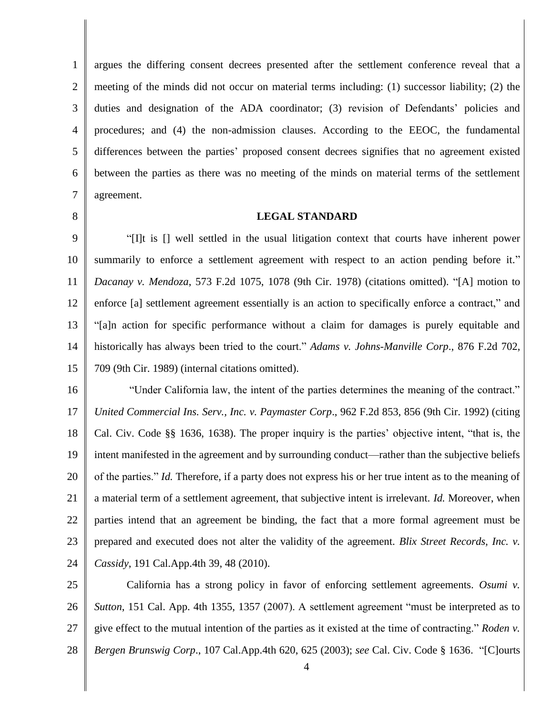1 2 3 4 5 6 7 argues the differing consent decrees presented after the settlement conference reveal that a meeting of the minds did not occur on material terms including: (1) successor liability; (2) the duties and designation of the ADA coordinator; (3) revision of Defendants' policies and procedures; and (4) the non-admission clauses. According to the EEOC, the fundamental differences between the parties' proposed consent decrees signifies that no agreement existed between the parties as there was no meeting of the minds on material terms of the settlement agreement.

8

## **LEGAL STANDARD**

9 10 11 12 13 14 15 "[I]t is [] well settled in the usual litigation context that courts have inherent power summarily to enforce a settlement agreement with respect to an action pending before it." *Dacanay v. Mendoza*, 573 F.2d 1075, 1078 (9th Cir. 1978) (citations omitted). "[A] motion to enforce [a] settlement agreement essentially is an action to specifically enforce a contract," and "[a]n action for specific performance without a claim for damages is purely equitable and historically has always been tried to the court." *Adams v. Johns-Manville Corp*., 876 F.2d 702, 709 (9th Cir. 1989) (internal citations omitted).

16 17 18 19 20 21 22 23 24 "Under California law, the intent of the parties determines the meaning of the contract." *United Commercial Ins. Serv., Inc. v. Paymaster Corp*., 962 F.2d 853, 856 (9th Cir. 1992) (citing Cal. Civ. Code §§ 1636, 1638). The proper inquiry is the parties' objective intent, "that is, the intent manifested in the agreement and by surrounding conduct—rather than the subjective beliefs of the parties." *Id.* Therefore, if a party does not express his or her true intent as to the meaning of a material term of a settlement agreement, that subjective intent is irrelevant. *Id.* Moreover, when parties intend that an agreement be binding, the fact that a more formal agreement must be prepared and executed does not alter the validity of the agreement. *Blix Street Records, Inc. v. Cassidy*, 191 Cal.App.4th 39, 48 (2010).

25 26 27 28 California has a strong policy in favor of enforcing settlement agreements. *Osumi v. Sutton*, 151 Cal. App. 4th 1355, 1357 (2007). A settlement agreement "must be interpreted as to give effect to the mutual intention of the parties as it existed at the time of contracting." *Roden v. Bergen Brunswig Corp*., 107 Cal.App.4th 620, 625 (2003); *see* Cal. Civ. Code § 1636. "[C]ourts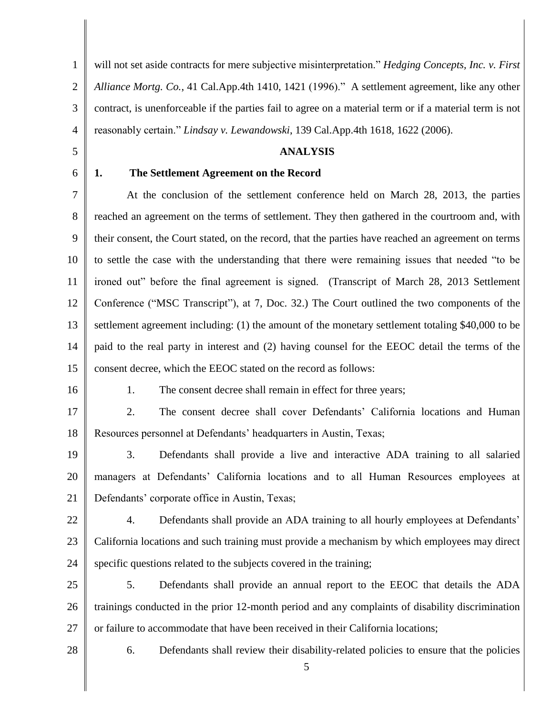1 2 3 4 will not set aside contracts for mere subjective misinterpretation." *Hedging Concepts, Inc. v. First Alliance Mortg. Co.*, 41 Cal.App.4th 1410, 1421 (1996)." A settlement agreement, like any other contract, is unenforceable if the parties fail to agree on a material term or if a material term is not reasonably certain." *Lindsay v. Lewandowski*, 139 Cal.App.4th 1618, 1622 (2006).

#### **ANALYSIS**

6

5

# **1. The Settlement Agreement on the Record**

7 8 9 10 11 12 13 14 15 At the conclusion of the settlement conference held on March 28, 2013, the parties reached an agreement on the terms of settlement. They then gathered in the courtroom and, with their consent, the Court stated, on the record, that the parties have reached an agreement on terms to settle the case with the understanding that there were remaining issues that needed "to be ironed out" before the final agreement is signed. (Transcript of March 28, 2013 Settlement Conference ("MSC Transcript"), at 7, Doc. 32.) The Court outlined the two components of the settlement agreement including: (1) the amount of the monetary settlement totaling \$40,000 to be paid to the real party in interest and (2) having counsel for the EEOC detail the terms of the consent decree, which the EEOC stated on the record as follows:

16

1. The consent decree shall remain in effect for three years;

17 18 2. The consent decree shall cover Defendants' California locations and Human Resources personnel at Defendants' headquarters in Austin, Texas;

19 20 21 3. Defendants shall provide a live and interactive ADA training to all salaried managers at Defendants' California locations and to all Human Resources employees at Defendants' corporate office in Austin, Texas;

22

23 24 4. Defendants shall provide an ADA training to all hourly employees at Defendants' California locations and such training must provide a mechanism by which employees may direct specific questions related to the subjects covered in the training;

25 26 27 5. Defendants shall provide an annual report to the EEOC that details the ADA trainings conducted in the prior 12-month period and any complaints of disability discrimination or failure to accommodate that have been received in their California locations;

28

6. Defendants shall review their disability-related policies to ensure that the policies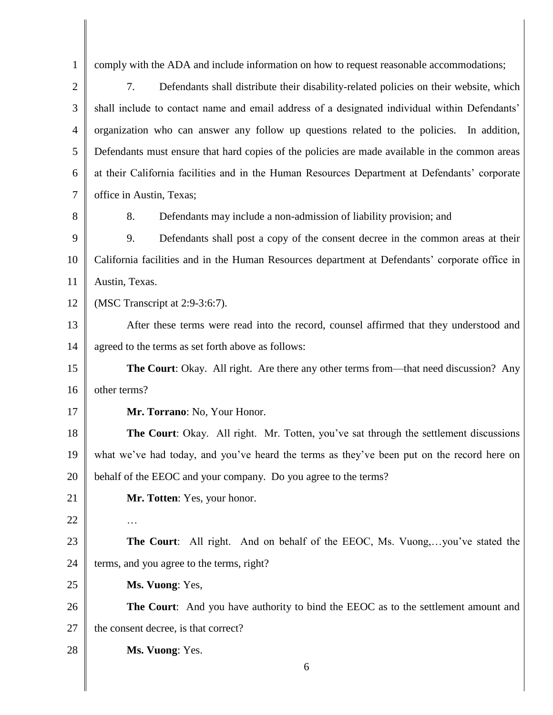1 2 3 4 5 6 7 8 9 10 11 12 13 14 15 16 17 18 19 20 21 22 23 24 25 26 27 28 6 comply with the ADA and include information on how to request reasonable accommodations; 7. Defendants shall distribute their disability-related policies on their website, which shall include to contact name and email address of a designated individual within Defendants' organization who can answer any follow up questions related to the policies. In addition, Defendants must ensure that hard copies of the policies are made available in the common areas at their California facilities and in the Human Resources Department at Defendants' corporate office in Austin, Texas; 8. Defendants may include a non-admission of liability provision; and 9. Defendants shall post a copy of the consent decree in the common areas at their California facilities and in the Human Resources department at Defendants' corporate office in Austin, Texas. (MSC Transcript at 2:9-3:6:7). After these terms were read into the record, counsel affirmed that they understood and agreed to the terms as set forth above as follows: **The Court**: Okay. All right. Are there any other terms from—that need discussion? Any other terms? **Mr. Torrano**: No, Your Honor. **The Court**: Okay. All right. Mr. Totten, you've sat through the settlement discussions what we've had today, and you've heard the terms as they've been put on the record here on behalf of the EEOC and your company. Do you agree to the terms? **Mr. Totten**: Yes, your honor. … **The Court**: All right. And on behalf of the EEOC, Ms. Vuong,…you've stated the terms, and you agree to the terms, right? **Ms. Vuong**: Yes, **The Court**: And you have authority to bind the EEOC as to the settlement amount and the consent decree, is that correct? **Ms. Vuong**: Yes.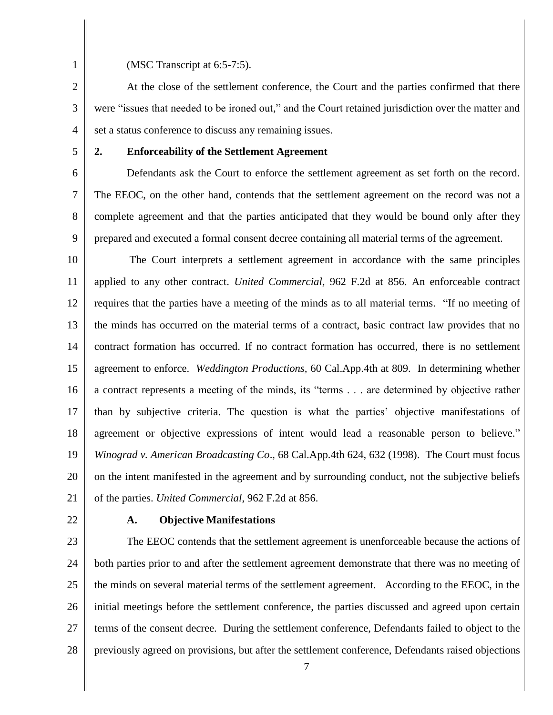(MSC Transcript at 6:5-7:5).

3 4 At the close of the settlement conference, the Court and the parties confirmed that there were "issues that needed to be ironed out," and the Court retained jurisdiction over the matter and set a status conference to discuss any remaining issues.

5

## **2. Enforceability of the Settlement Agreement**

6 7 8 9 Defendants ask the Court to enforce the settlement agreement as set forth on the record. The EEOC, on the other hand, contends that the settlement agreement on the record was not a complete agreement and that the parties anticipated that they would be bound only after they prepared and executed a formal consent decree containing all material terms of the agreement.

10 11 12 13 14 15 16 17 18 19 20 21 The Court interprets a settlement agreement in accordance with the same principles applied to any other contract. *United Commercial,* 962 F.2d at 856. An enforceable contract requires that the parties have a meeting of the minds as to all material terms. "If no meeting of the minds has occurred on the material terms of a contract, basic contract law provides that no contract formation has occurred. If no contract formation has occurred, there is no settlement agreement to enforce. *Weddington Productions,* 60 Cal.App.4th at 809. In determining whether a contract represents a meeting of the minds, its "terms . . . are determined by objective rather than by subjective criteria. The question is what the parties' objective manifestations of agreement or objective expressions of intent would lead a reasonable person to believe." *Winograd v. American Broadcasting Co*., 68 Cal.App.4th 624, 632 (1998). The Court must focus on the intent manifested in the agreement and by surrounding conduct, not the subjective beliefs of the parties. *United Commercial*, 962 F.2d at 856.

22

### **A. Objective Manifestations**

23 24 25 26 27 28 The EEOC contends that the settlement agreement is unenforceable because the actions of both parties prior to and after the settlement agreement demonstrate that there was no meeting of the minds on several material terms of the settlement agreement. According to the EEOC, in the initial meetings before the settlement conference, the parties discussed and agreed upon certain terms of the consent decree. During the settlement conference, Defendants failed to object to the previously agreed on provisions, but after the settlement conference, Defendants raised objections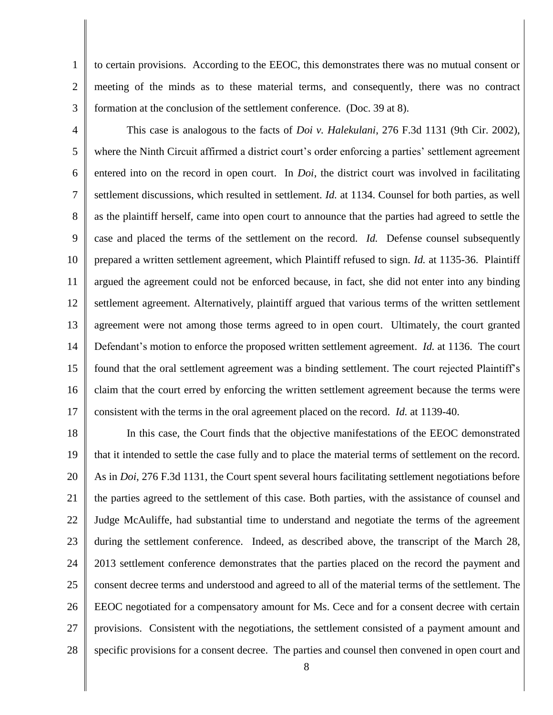2 to certain provisions. According to the EEOC, this demonstrates there was no mutual consent or meeting of the minds as to these material terms, and consequently, there was no contract formation at the conclusion of the settlement conference. (Doc. 39 at 8).

3

1

4 5 6 7 8 9 10 11 12 13 14 15 16 17 This case is analogous to the facts of *Doi v. Halekulani*, 276 F.3d 1131 (9th Cir. 2002), where the Ninth Circuit affirmed a district court's order enforcing a parties' settlement agreement entered into on the record in open court. In *Doi*, the district court was involved in facilitating settlement discussions, which resulted in settlement. *Id.* at 1134. Counsel for both parties, as well as the plaintiff herself, came into open court to announce that the parties had agreed to settle the case and placed the terms of the settlement on the record. *Id.* Defense counsel subsequently prepared a written settlement agreement, which Plaintiff refused to sign. *Id.* at 1135-36. Plaintiff argued the agreement could not be enforced because, in fact, she did not enter into any binding settlement agreement. Alternatively, plaintiff argued that various terms of the written settlement agreement were not among those terms agreed to in open court. Ultimately, the court granted Defendant's motion to enforce the proposed written settlement agreement. *Id.* at 1136.The court found that the oral settlement agreement was a binding settlement. The court rejected Plaintiff's claim that the court erred by enforcing the written settlement agreement because the terms were consistent with the terms in the oral agreement placed on the record. *Id.* at 1139-40.

18 19 20 21 22 23 24 25 26 27 28 In this case, the Court finds that the objective manifestations of the EEOC demonstrated that it intended to settle the case fully and to place the material terms of settlement on the record. As in *Doi*, 276 F.3d 1131, the Court spent several hours facilitating settlement negotiations before the parties agreed to the settlement of this case. Both parties, with the assistance of counsel and Judge McAuliffe, had substantial time to understand and negotiate the terms of the agreement during the settlement conference. Indeed, as described above, the transcript of the March 28, 2013 settlement conference demonstrates that the parties placed on the record the payment and consent decree terms and understood and agreed to all of the material terms of the settlement. The EEOC negotiated for a compensatory amount for Ms. Cece and for a consent decree with certain provisions. Consistent with the negotiations, the settlement consisted of a payment amount and specific provisions for a consent decree. The parties and counsel then convened in open court and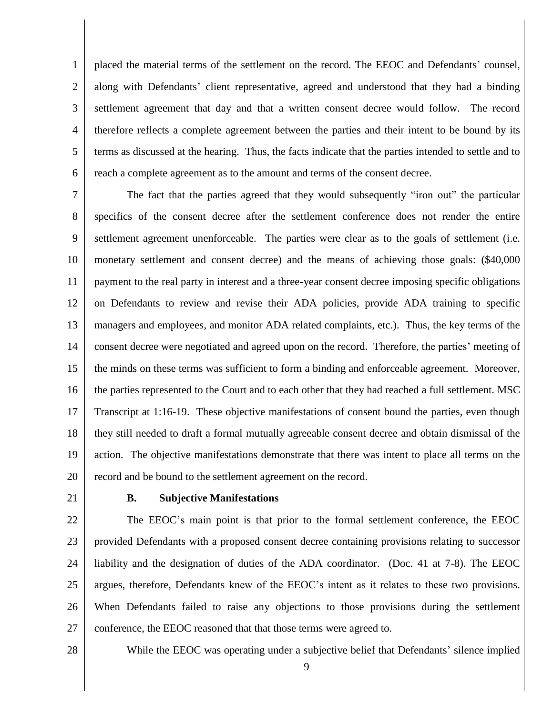1 2 3 4 5 6 placed the material terms of the settlement on the record. The EEOC and Defendants' counsel, along with Defendants' client representative, agreed and understood that they had a binding settlement agreement that day and that a written consent decree would follow. The record therefore reflects a complete agreement between the parties and their intent to be bound by its terms as discussed at the hearing. Thus, the facts indicate that the parties intended to settle and to reach a complete agreement as to the amount and terms of the consent decree.

7 8 9 10 11 12 13 14 15 16 17 18 19 20 The fact that the parties agreed that they would subsequently "iron out" the particular specifics of the consent decree after the settlement conference does not render the entire settlement agreement unenforceable. The parties were clear as to the goals of settlement (i.e. monetary settlement and consent decree) and the means of achieving those goals: (\$40,000 payment to the real party in interest and a three-year consent decree imposing specific obligations on Defendants to review and revise their ADA policies, provide ADA training to specific managers and employees, and monitor ADA related complaints, etc.). Thus, the key terms of the consent decree were negotiated and agreed upon on the record. Therefore, the parties' meeting of the minds on these terms was sufficient to form a binding and enforceable agreement. Moreover, the parties represented to the Court and to each other that they had reached a full settlement. MSC Transcript at 1:16-19. These objective manifestations of consent bound the parties, even though they still needed to draft a formal mutually agreeable consent decree and obtain dismissal of the action. The objective manifestations demonstrate that there was intent to place all terms on the record and be bound to the settlement agreement on the record.

21

## **B. Subjective Manifestations**

22 23 24 25 26 27 The EEOC's main point is that prior to the formal settlement conference, the EEOC provided Defendants with a proposed consent decree containing provisions relating to successor liability and the designation of duties of the ADA coordinator. (Doc. 41 at 7-8). The EEOC argues, therefore, Defendants knew of the EEOC's intent as it relates to these two provisions. When Defendants failed to raise any objections to those provisions during the settlement conference, the EEOC reasoned that that those terms were agreed to.

28

While the EEOC was operating under a subjective belief that Defendants' silence implied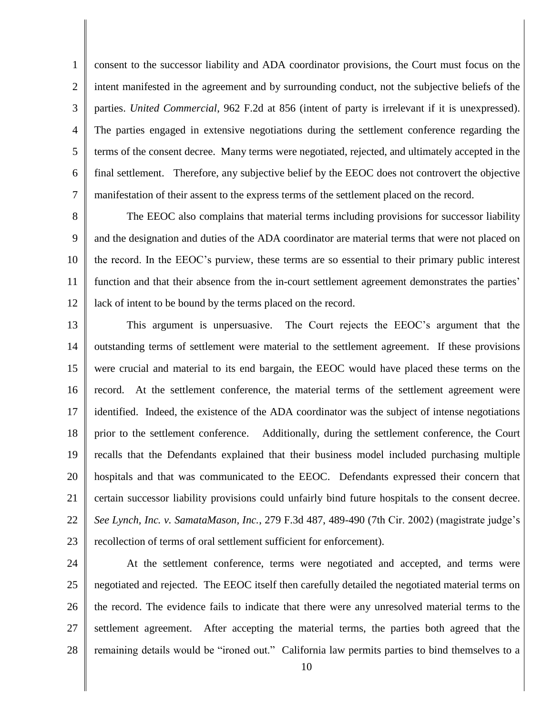1 2 3 4 5 6 7 consent to the successor liability and ADA coordinator provisions, the Court must focus on the intent manifested in the agreement and by surrounding conduct, not the subjective beliefs of the parties. *United Commercial*, 962 F.2d at 856 (intent of party is irrelevant if it is unexpressed). The parties engaged in extensive negotiations during the settlement conference regarding the terms of the consent decree. Many terms were negotiated, rejected, and ultimately accepted in the final settlement. Therefore, any subjective belief by the EEOC does not controvert the objective manifestation of their assent to the express terms of the settlement placed on the record.

8 9 10 11 12 The EEOC also complains that material terms including provisions for successor liability and the designation and duties of the ADA coordinator are material terms that were not placed on the record. In the EEOC's purview, these terms are so essential to their primary public interest function and that their absence from the in-court settlement agreement demonstrates the parties' lack of intent to be bound by the terms placed on the record.

13 14 15 16 17 18 19 20 21 22 23 This argument is unpersuasive. The Court rejects the EEOC's argument that the outstanding terms of settlement were material to the settlement agreement. If these provisions were crucial and material to its end bargain, the EEOC would have placed these terms on the record. At the settlement conference, the material terms of the settlement agreement were identified. Indeed, the existence of the ADA coordinator was the subject of intense negotiations prior to the settlement conference. Additionally, during the settlement conference, the Court recalls that the Defendants explained that their business model included purchasing multiple hospitals and that was communicated to the EEOC. Defendants expressed their concern that certain successor liability provisions could unfairly bind future hospitals to the consent decree. *See Lynch, Inc. v. SamataMason, Inc.*, 279 F.3d 487, 489-490 (7th Cir. 2002) (magistrate judge's recollection of terms of oral settlement sufficient for enforcement).

24 25 26 27 28 At the settlement conference, terms were negotiated and accepted, and terms were negotiated and rejected. The EEOC itself then carefully detailed the negotiated material terms on the record. The evidence fails to indicate that there were any unresolved material terms to the settlement agreement. After accepting the material terms, the parties both agreed that the remaining details would be "ironed out." California law permits parties to bind themselves to a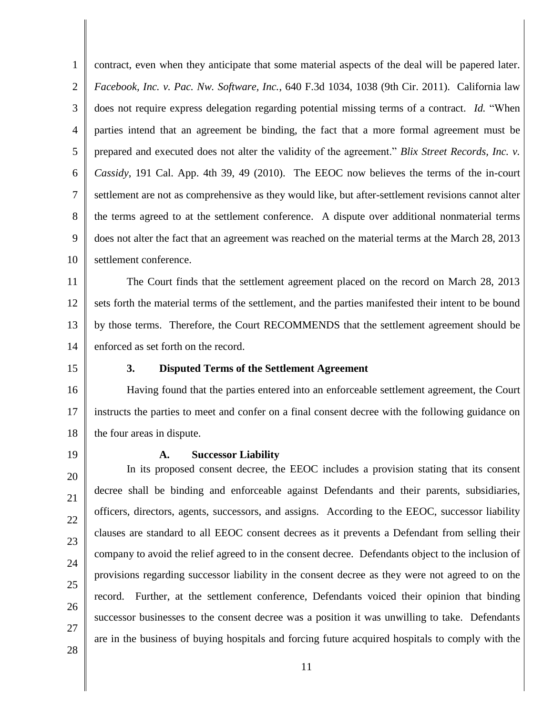1 2 3 4 5 6 7 8 9 10 contract, even when they anticipate that some material aspects of the deal will be papered later. *Facebook, Inc. v. Pac. Nw. Software, Inc.*, 640 F.3d 1034, 1038 (9th Cir. 2011). California law does not require express delegation regarding potential missing terms of a contract. *Id.* "When parties intend that an agreement be binding, the fact that a more formal agreement must be prepared and executed does not alter the validity of the agreement." *Blix Street Records, Inc. v. Cassidy*, 191 Cal. App. 4th 39, 49 (2010). The EEOC now believes the terms of the in-court settlement are not as comprehensive as they would like, but after-settlement revisions cannot alter the terms agreed to at the settlement conference. A dispute over additional nonmaterial terms does not alter the fact that an agreement was reached on the material terms at the March 28, 2013 settlement conference.

11 12 13 14 The Court finds that the settlement agreement placed on the record on March 28, 2013 sets forth the material terms of the settlement, and the parties manifested their intent to be bound by those terms. Therefore, the Court RECOMMENDS that the settlement agreement should be enforced as set forth on the record.

15

#### **3. Disputed Terms of the Settlement Agreement**

16 17 18 Having found that the parties entered into an enforceable settlement agreement, the Court instructs the parties to meet and confer on a final consent decree with the following guidance on the four areas in dispute.

19

#### **A. Successor Liability**

20 21 22 23 24 25 26 27 In its proposed consent decree, the EEOC includes a provision stating that its consent decree shall be binding and enforceable against Defendants and their parents, subsidiaries, officers, directors, agents, successors, and assigns. According to the EEOC, successor liability clauses are standard to all EEOC consent decrees as it prevents a Defendant from selling their company to avoid the relief agreed to in the consent decree. Defendants object to the inclusion of provisions regarding successor liability in the consent decree as they were not agreed to on the record. Further, at the settlement conference, Defendants voiced their opinion that binding successor businesses to the consent decree was a position it was unwilling to take. Defendants are in the business of buying hospitals and forcing future acquired hospitals to comply with the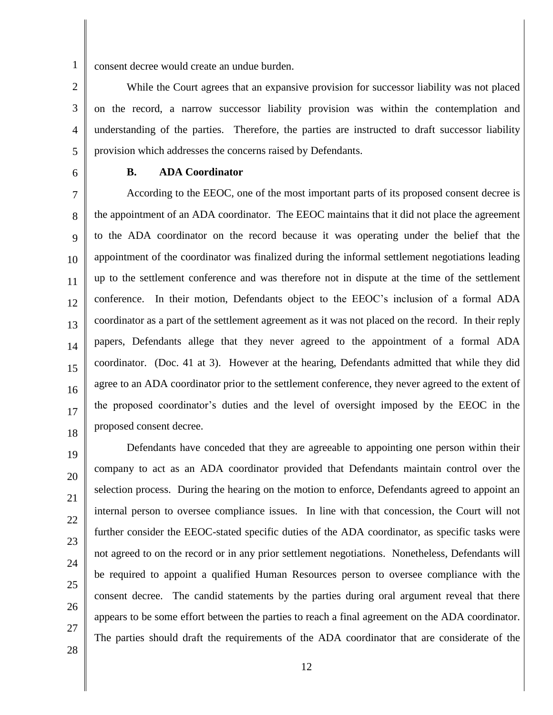consent decree would create an undue burden.

2 3 4 5 While the Court agrees that an expansive provision for successor liability was not placed on the record, a narrow successor liability provision was within the contemplation and understanding of the parties. Therefore, the parties are instructed to draft successor liability provision which addresses the concerns raised by Defendants.

6

## **B. ADA Coordinator**

7 8 9 10 11 12 13 14 15 16 17 18 According to the EEOC, one of the most important parts of its proposed consent decree is the appointment of an ADA coordinator. The EEOC maintains that it did not place the agreement to the ADA coordinator on the record because it was operating under the belief that the appointment of the coordinator was finalized during the informal settlement negotiations leading up to the settlement conference and was therefore not in dispute at the time of the settlement conference. In their motion, Defendants object to the EEOC's inclusion of a formal ADA coordinator as a part of the settlement agreement as it was not placed on the record. In their reply papers, Defendants allege that they never agreed to the appointment of a formal ADA coordinator. (Doc. 41 at 3). However at the hearing, Defendants admitted that while they did agree to an ADA coordinator prior to the settlement conference, they never agreed to the extent of the proposed coordinator's duties and the level of oversight imposed by the EEOC in the proposed consent decree.

19

20

21

22

23

24

25

26

27

Defendants have conceded that they are agreeable to appointing one person within their company to act as an ADA coordinator provided that Defendants maintain control over the selection process. During the hearing on the motion to enforce, Defendants agreed to appoint an internal person to oversee compliance issues. In line with that concession, the Court will not further consider the EEOC-stated specific duties of the ADA coordinator, as specific tasks were not agreed to on the record or in any prior settlement negotiations. Nonetheless, Defendants will be required to appoint a qualified Human Resources person to oversee compliance with the consent decree. The candid statements by the parties during oral argument reveal that there appears to be some effort between the parties to reach a final agreement on the ADA coordinator. The parties should draft the requirements of the ADA coordinator that are considerate of the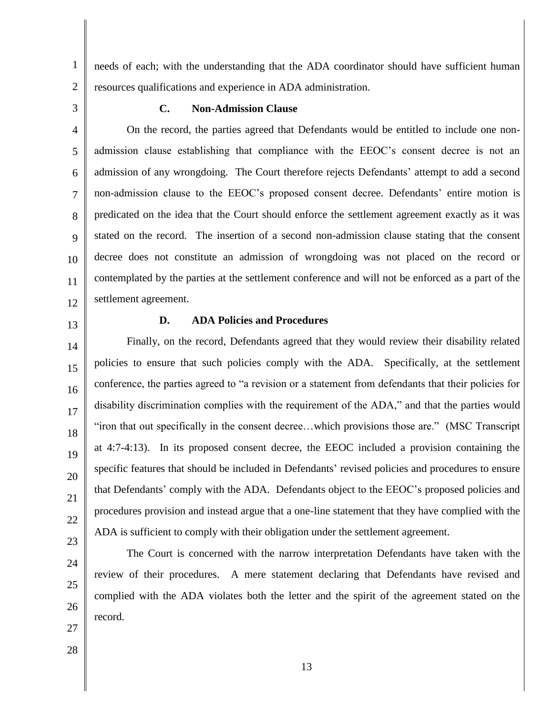5

6

7

8

9

10

11

12

1

# **C. Non-Admission Clause**

resources qualifications and experience in ADA administration.

4 On the record, the parties agreed that Defendants would be entitled to include one nonadmission clause establishing that compliance with the EEOC's consent decree is not an admission of any wrongdoing. The Court therefore rejects Defendants' attempt to add a second non-admission clause to the EEOC's proposed consent decree. Defendants' entire motion is predicated on the idea that the Court should enforce the settlement agreement exactly as it was stated on the record. The insertion of a second non-admission clause stating that the consent decree does not constitute an admission of wrongdoing was not placed on the record or contemplated by the parties at the settlement conference and will not be enforced as a part of the settlement agreement.

needs of each; with the understanding that the ADA coordinator should have sufficient human

# 13

15

17

21

### **D. ADA Policies and Procedures**

14 16 18 19 20 22 23 Finally, on the record, Defendants agreed that they would review their disability related policies to ensure that such policies comply with the ADA. Specifically, at the settlement conference, the parties agreed to "a revision or a statement from defendants that their policies for disability discrimination complies with the requirement of the ADA," and that the parties would "iron that out specifically in the consent decree…which provisions those are." (MSC Transcript at 4:7-4:13). In its proposed consent decree, the EEOC included a provision containing the specific features that should be included in Defendants' revised policies and procedures to ensure that Defendants' comply with the ADA. Defendants object to the EEOC's proposed policies and procedures provision and instead argue that a one-line statement that they have complied with the ADA is sufficient to comply with their obligation under the settlement agreement.

24 25

The Court is concerned with the narrow interpretation Defendants have taken with the review of their procedures. A mere statement declaring that Defendants have revised and complied with the ADA violates both the letter and the spirit of the agreement stated on the record.

28

27